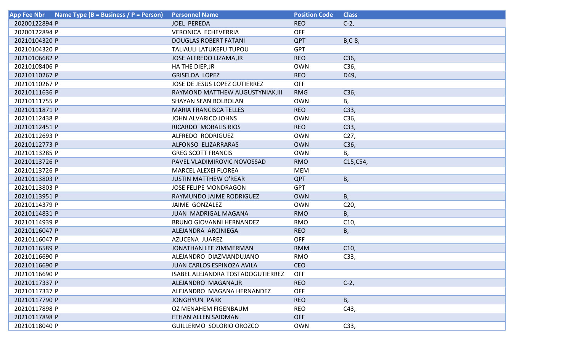| Name Type (B = Business / P = Person)<br><b>App Fee Nbr</b> | <b>Personnel Name</b>             | <b>Position Code</b> | <b>Class</b>    |
|-------------------------------------------------------------|-----------------------------------|----------------------|-----------------|
| 20200122894 P                                               | <b>JOEL PEREDA</b>                | <b>REO</b>           | $C-2,$          |
| 20200122894 P                                               | <b>VERONICA ECHEVERRIA</b>        | <b>OFF</b>           |                 |
| 20210104320 P                                               | <b>DOUGLAS ROBERT FATANI</b>      | <b>QPT</b>           | $B, C-8$        |
| 20210104320 P                                               | <b>TALIAULI LATUKEFU TUPOU</b>    | <b>GPT</b>           |                 |
| 20210106682 P                                               | JOSE ALFREDO LIZAMA, JR           | <b>REO</b>           | C36,            |
| 20210108406 P                                               | HA THE DIEP, JR                   | <b>OWN</b>           | C36,            |
| 20210110267 P                                               | <b>GRISELDA LOPEZ</b>             | <b>REO</b>           | D49,            |
| 20210110267 P                                               | JOSE DE JESUS LOPEZ GUTIERREZ     | <b>OFF</b>           |                 |
| 20210111636 P                                               | RAYMOND MATTHEW AUGUSTYNIAK, III  | <b>RMG</b>           | C36,            |
| 20210111755 P                                               | <b>SHAYAN SEAN BOLBOLAN</b>       | <b>OWN</b>           | В,              |
| 20210111871 P                                               | <b>MARIA FRANCISCA TELLES</b>     | <b>REO</b>           | C33,            |
| 20210112438 P                                               | <b>JOHN ALVARICO JOHNS</b>        | <b>OWN</b>           | C <sub>36</sub> |
| 20210112451 P                                               | RICARDO MORALIS RIOS              | <b>REO</b>           | C33,            |
| 20210112693 P                                               | ALFREDO RODRIGUEZ                 | <b>OWN</b>           | C <sub>27</sub> |
| 20210112773 P                                               | ALFONSO ELIZARRARAS               | <b>OWN</b>           | C36,            |
| 20210113285 P                                               | <b>GREG SCOTT FRANCIS</b>         | <b>OWN</b>           | Β,              |
| 20210113726 P                                               | PAVEL VLADIMIROVIC NOVOSSAD       | <b>RMO</b>           | C15, C54,       |
| 20210113726 P                                               | <b>MARCEL ALEXEI FLOREA</b>       | <b>MEM</b>           |                 |
| 20210113803 P                                               | <b>JUSTIN MATTHEW O'REAR</b>      | <b>QPT</b>           | Β,              |
| 20210113803 P                                               | <b>JOSE FELIPE MONDRAGON</b>      | <b>GPT</b>           |                 |
| 20210113951 P                                               | RAYMUNDO JAIME RODRIGUEZ          | <b>OWN</b>           | B,              |
| 20210114379 P                                               | JAIME GONZALEZ                    | <b>OWN</b>           | C <sub>20</sub> |
| 20210114831 P                                               | <b>JUAN MADRIGAL MAGANA</b>       | <b>RMO</b>           | Β,              |
| 20210114939 P                                               | <b>BRUNO GIOVANNI HERNANDEZ</b>   | <b>RMO</b>           | C10,            |
| 20210116047 P                                               | ALEJANDRA ARCINIEGA               | <b>REO</b>           | Β,              |
| 20210116047 P                                               | AZUCENA JUAREZ                    | <b>OFF</b>           |                 |
| 20210116589 P                                               | JONATHAN LEE ZIMMERMAN            | <b>RMM</b>           | C10,            |
| 20210116690 P                                               | ALEJANDRO DIAZMANDUJANO           | <b>RMO</b>           | C33,            |
| 20210116690 P                                               | JUAN CARLOS ESPINOZA AVILA        | <b>CEO</b>           |                 |
| 20210116690 P                                               | ISABEL ALEJANDRA TOSTADOGUTIERREZ | <b>OFF</b>           |                 |
| 20210117337 P                                               | ALEJANDRO MAGANA, JR              | <b>REO</b>           | $C-2,$          |
| 20210117337 P                                               | ALEJANDRO MAGANA HERNANDEZ        | <b>OFF</b>           |                 |
| 20210117790 P                                               | <b>JONGHYUN PARK</b>              | <b>REO</b>           | B,              |
| 20210117898 P                                               | <b>OZ MENAHEM FIGENBAUM</b>       | <b>REO</b>           | C43,            |
| 20210117898 P                                               | ETHAN ALLEN SAIDMAN               | <b>OFF</b>           |                 |
| 20210118040 P                                               | GUILLERMO SOLORIO OROZCO          | <b>OWN</b>           | C33,            |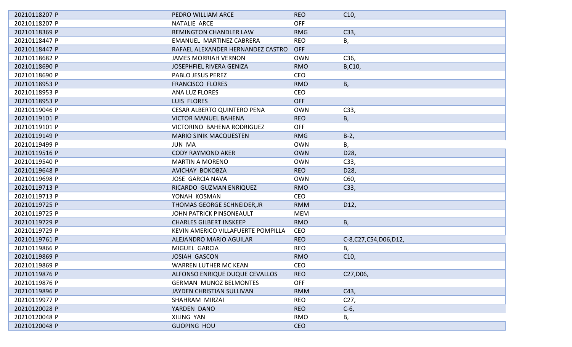| 20210118207 P | PEDRO WILLIAM ARCE                 | <b>REO</b> | C10,                 |
|---------------|------------------------------------|------------|----------------------|
| 20210118207 P | NATALIE ARCE                       | <b>OFF</b> |                      |
| 20210118369 P | REMINGTON CHANDLER LAW             | <b>RMG</b> | C33,                 |
|               | <b>EMANUEL MARTINEZ CABRERA</b>    | <b>REO</b> |                      |
| 20210118447 P |                                    |            | В,                   |
| 20210118447 P | RAFAEL ALEXANDER HERNANDEZ CASTRO  | <b>OFF</b> |                      |
| 20210118682 P | <b>JAMES MORRIAH VERNON</b>        | <b>OWN</b> | C36,                 |
| 20210118690 P | <b>JOSEPHFIEL RIVERA GENIZA</b>    | <b>RMO</b> | B,C10,               |
| 20210118690 P | <b>PABLO JESUS PEREZ</b>           | <b>CEO</b> |                      |
| 20210118953 P | <b>FRANCISCO FLORES</b>            | <b>RMO</b> | В,                   |
| 20210118953 P | <b>ANA LUZ FLORES</b>              | <b>CEO</b> |                      |
| 20210118953 P | LUIS FLORES                        | <b>OFF</b> |                      |
| 20210119046 P | <b>CESAR ALBERTO QUINTERO PENA</b> | <b>OWN</b> | C33,                 |
| 20210119101 P | <b>VICTOR MANUEL BAHENA</b>        | <b>REO</b> | Β,                   |
| 20210119101 P | VICTORINO BAHENA RODRIGUEZ         | <b>OFF</b> |                      |
| 20210119149 P | <b>MARIO SINIK MACQUESTEN</b>      | <b>RMG</b> | $B-2,$               |
| 20210119499 P | <b>JUN MA</b>                      | <b>OWN</b> | В,                   |
| 20210119516 P | <b>CODY RAYMOND AKER</b>           | <b>OWN</b> | D28,                 |
| 20210119540 P | <b>MARTIN A MORENO</b>             | <b>OWN</b> | C33,                 |
| 20210119648 P | AVICHAY BOKOBZA                    | <b>REO</b> | D28,                 |
| 20210119698 P | <b>JOSE GARCIA NAVA</b>            | <b>OWN</b> | C60,                 |
| 20210119713 P | RICARDO GUZMAN ENRIQUEZ            | <b>RMO</b> | C33,                 |
| 20210119713 P | YONAH KOSMAN                       | <b>CEO</b> |                      |
| 20210119725 P | THOMAS GEORGE SCHNEIDER, JR        | <b>RMM</b> | D12,                 |
| 20210119725 P | JOHN PATRICK PINSONEAULT           | <b>MEM</b> |                      |
| 20210119729 P | <b>CHARLES GILBERT INSKEEP</b>     | <b>RMO</b> | Β,                   |
| 20210119729 P | KEVIN AMERICO VILLAFUERTE POMPILLA | <b>CEO</b> |                      |
| 20210119761 P | ALEJANDRO MARIO AGUILAR            | <b>REO</b> | C-8,C27,C54,D06,D12, |
| 20210119866 P | MIGUEL GARCIA                      | <b>REO</b> | В,                   |
| 20210119869 P | <b>JOSIAH GASCON</b>               | <b>RMO</b> | C10,                 |
| 20210119869 P | <b>WARREN LUTHER MC KEAN</b>       | CEO        |                      |
| 20210119876 P | ALFONSO ENRIQUE DUQUE CEVALLOS     | <b>REO</b> | C27, D06,            |
| 20210119876 P | <b>GERMAN MUNOZ BELMONTES</b>      | <b>OFF</b> |                      |
| 20210119896 P | JAYDEN CHRISTIAN SULLIVAN          | <b>RMM</b> | C43,                 |
| 20210119977 P | SHAHRAM MIRZAI                     | <b>REO</b> | C <sub>27</sub>      |
| 20210120028 P | YARDEN DANO                        | <b>REO</b> | $C-6$ ,              |
| 20210120048 P | <b>XILING YAN</b>                  | <b>RMO</b> | В,                   |
| 20210120048 P | <b>GUOPING HOU</b>                 | <b>CEO</b> |                      |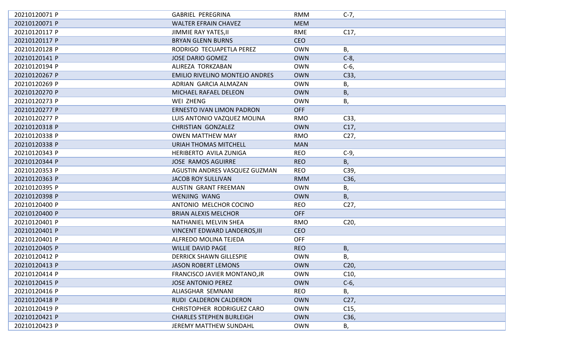| 20210120071 P | <b>GABRIEL PEREGRINA</b>              | <b>RMM</b> | $C-7,$            |
|---------------|---------------------------------------|------------|-------------------|
| 20210120071 P | <b>WALTER EFRAIN CHAVEZ</b>           | <b>MEM</b> |                   |
| 20210120117 P | <b>JIMMIE RAY YATES, II</b>           | <b>RME</b> | C17,              |
| 20210120117 P | <b>BRYAN GLENN BURNS</b>              | <b>CEO</b> |                   |
| 20210120128 P | RODRIGO TECUAPETLA PEREZ              | <b>OWN</b> | В,                |
| 20210120141 P | <b>JOSE DARIO GOMEZ</b>               | <b>OWN</b> | $C-8$             |
| 20210120194 P | ALIREZA TORKZABAN                     | <b>OWN</b> | $C-6$             |
| 20210120267 P | <b>EMILIO RIVELINO MONTEJO ANDRES</b> | <b>OWN</b> | C33,              |
| 20210120269 P | ADRIAN GARCIA ALMAZAN                 | <b>OWN</b> | Β,                |
| 20210120270 P | MICHAEL RAFAEL DELEON                 | <b>OWN</b> | Β,                |
| 20210120273 P | WEI ZHENG                             | <b>OWN</b> | Β,                |
| 20210120277 P | <b>ERNESTO IVAN LIMON PADRON</b>      | <b>OFF</b> |                   |
| 20210120277 P | LUIS ANTONIO VAZQUEZ MOLINA           | <b>RMO</b> | C33,              |
| 20210120318 P | <b>CHRISTIAN GONZALEZ</b>             | <b>OWN</b> | C17,              |
| 20210120338 P | <b>OWEN MATTHEW MAY</b>               | <b>RMO</b> | C <sub>27</sub>   |
| 20210120338 P | <b>URIAH THOMAS MITCHELL</b>          | <b>MAN</b> |                   |
| 20210120343 P | HERIBERTO AVILA ZUNIGA                | <b>REO</b> | $C-9,$            |
| 20210120344 P | <b>JOSE RAMOS AGUIRRE</b>             | <b>REO</b> | B,                |
| 20210120353 P | AGUSTIN ANDRES VASQUEZ GUZMAN         | <b>REO</b> | C39,              |
| 20210120363 P | <b>JACOB ROY SULLIVAN</b>             | <b>RMM</b> | C36,              |
| 20210120395 P | <b>AUSTIN GRANT FREEMAN</b>           | <b>OWN</b> | Β,                |
| 20210120398 P | <b>WENJING WANG</b>                   | <b>OWN</b> | B,                |
| 20210120400 P | ANTONIO MELCHOR COCINO                | <b>REO</b> | C <sub>27</sub>   |
| 20210120400 P | <b>BRIAN ALEXIS MELCHOR</b>           | <b>OFF</b> |                   |
| 20210120401 P | NATHANIEL MELVIN SHEA                 | <b>RMO</b> | C <sub>20</sub> , |
| 20210120401 P | <b>VINCENT EDWARD LANDEROS, III</b>   | <b>CEO</b> |                   |
| 20210120401 P | ALFREDO MOLINA TEJEDA                 | <b>OFF</b> |                   |
| 20210120405 P | <b>WILLIE DAVID PAGE</b>              | <b>REO</b> | Β,                |
| 20210120412 P | <b>DERRICK SHAWN GILLESPIE</b>        | <b>OWN</b> | Β,                |
| 20210120413 P | <b>JASON ROBERT LEMONS</b>            | <b>OWN</b> | C20,              |
| 20210120414 P | FRANCISCO JAVIER MONTANO, JR          | <b>OWN</b> | C10,              |
| 20210120415 P | <b>JOSE ANTONIO PEREZ</b>             | <b>OWN</b> | $C-6$ ,           |
| 20210120416 P | ALIASGHAR SEMNANI                     | <b>REO</b> | В,                |
| 20210120418 P | RUDI CALDERON CALDERON                | <b>OWN</b> | C <sub>27</sub>   |
| 20210120419 P | <b>CHRISTOPHER RODRIGUEZ CARO</b>     | <b>OWN</b> | C <sub>15</sub>   |
| 20210120421 P | <b>CHARLES STEPHEN BURLEIGH</b>       | <b>OWN</b> | C36,              |
| 20210120423 P | <b>JEREMY MATTHEW SUNDAHL</b>         | <b>OWN</b> | В,                |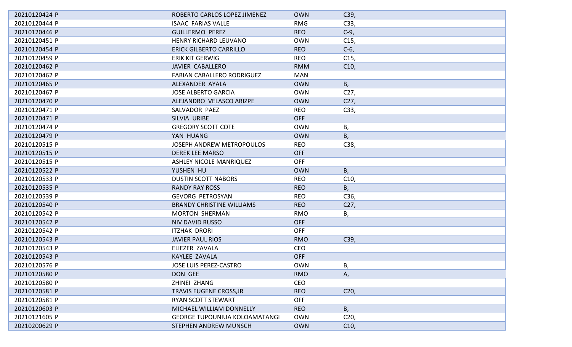| 20210120424 P | ROBERTO CARLOS LOPEZ JIMENEZ         | <b>OWN</b> | C39,            |
|---------------|--------------------------------------|------------|-----------------|
| 20210120444 P | <b>ISAAC FARIAS VALLE</b>            | <b>RMG</b> | C33,            |
| 20210120446 P | <b>GUILLERMO PEREZ</b>               | <b>REO</b> | $C-9$ ,         |
| 20210120451 P | HENRY RICHARD LEUVANO                | <b>OWN</b> | C <sub>15</sub> |
| 20210120454 P | <b>ERICK GILBERTO CARRILLO</b>       | <b>REO</b> | $C-6$           |
| 20210120459 P | <b>ERIK KIT GERWIG</b>               | <b>REO</b> | C <sub>15</sub> |
| 20210120462 P | JAVIER CABALLERO                     | <b>RMM</b> | C10,            |
| 20210120462 P | <b>FABIAN CABALLERO RODRIGUEZ</b>    | <b>MAN</b> |                 |
| 20210120465 P | ALEXANDER AYALA                      | <b>OWN</b> | B,              |
| 20210120467 P | <b>JOSE ALBERTO GARCIA</b>           | <b>OWN</b> | C <sub>27</sub> |
| 20210120470 P | ALEJANDRO VELASCO ARIZPE             | <b>OWN</b> | C <sub>27</sub> |
| 20210120471 P | SALVADOR PAEZ                        | <b>REO</b> | C33,            |
| 20210120471 P | SILVIA URIBE                         | <b>OFF</b> |                 |
| 20210120474 P | <b>GREGORY SCOTT COTE</b>            | <b>OWN</b> | Β,              |
| 20210120479 P | YAN HUANG                            | <b>OWN</b> | B,              |
| 20210120515 P | JOSEPH ANDREW METROPOULOS            | <b>REO</b> | C38,            |
| 20210120515 P | <b>DEREK LEE MARSO</b>               | <b>OFF</b> |                 |
| 20210120515 P | <b>ASHLEY NICOLE MANRIQUEZ</b>       | <b>OFF</b> |                 |
| 20210120522 P | YUSHEN HU                            | <b>OWN</b> | B,              |
| 20210120533 P | <b>DUSTIN SCOTT NABORS</b>           | <b>REO</b> | C10,            |
| 20210120535 P | <b>RANDY RAY ROSS</b>                | <b>REO</b> | B,              |
| 20210120539 P | <b>GEVORG PETROSYAN</b>              | <b>REO</b> | C <sub>36</sub> |
| 20210120540 P | <b>BRANDY CHRISTINE WILLIAMS</b>     | <b>REO</b> | C27,            |
| 20210120542 P | <b>MORTON SHERMAN</b>                | <b>RMO</b> | В,              |
| 20210120542 P | <b>NIV DAVID RUSSO</b>               | <b>OFF</b> |                 |
| 20210120542 P | <b>ITZHAK DRORI</b>                  | <b>OFF</b> |                 |
| 20210120543 P | <b>JAVIER PAUL RIOS</b>              | <b>RMO</b> | C39,            |
| 20210120543 P | ELIEZER ZAVALA                       | CEO        |                 |
| 20210120543 P | KAYLEE ZAVALA                        | <b>OFF</b> |                 |
| 20210120576 P | JOSE LUIS PEREZ-CASTRO               | <b>OWN</b> | Β,              |
| 20210120580 P | DON GEE                              | <b>RMO</b> | А,              |
| 20210120580 P | ZHINEI ZHANG                         | <b>CEO</b> |                 |
| 20210120581 P | <b>TRAVIS EUGENE CROSS, JR</b>       | <b>REO</b> | C <sub>20</sub> |
| 20210120581 P | <b>RYAN SCOTT STEWART</b>            | <b>OFF</b> |                 |
| 20210120603 P | MICHAEL WILLIAM DONNELLY             | <b>REO</b> | B,              |
| 20210121605 P | <b>GEORGE TUPOUNIUA KOLOAMATANGI</b> | <b>OWN</b> | C <sub>20</sub> |
| 20210200629 P | <b>STEPHEN ANDREW MUNSCH</b>         | <b>OWN</b> | C10,            |